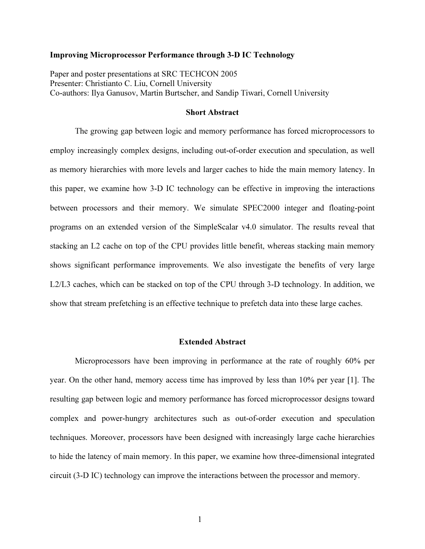## Improving Microprocessor Performance through 3-D IC Technology

Paper and poster presentations at SRC TECHCON 2005 Presenter: Christianto C. Liu, Cornell University Co-authors: Ilya Ganusov, Martin Burtscher, and Sandip Tiwari, Cornell University

## Short Abstract

 The growing gap between logic and memory performance has forced microprocessors to employ increasingly complex designs, including out-of-order execution and speculation, as well as memory hierarchies with more levels and larger caches to hide the main memory latency. In this paper, we examine how 3-D IC technology can be effective in improving the interactions between processors and their memory. We simulate SPEC2000 integer and floating-point programs on an extended version of the SimpleScalar v4.0 simulator. The results reveal that stacking an L2 cache on top of the CPU provides little benefit, whereas stacking main memory shows significant performance improvements. We also investigate the benefits of very large L2/L3 caches, which can be stacked on top of the CPU through 3-D technology. In addition, we show that stream prefetching is an effective technique to prefetch data into these large caches.

## Extended Abstract

Microprocessors have been improving in performance at the rate of roughly 60% per year. On the other hand, memory access time has improved by less than 10% per year [1]. The resulting gap between logic and memory performance has forced microprocessor designs toward complex and power-hungry architectures such as out-of-order execution and speculation techniques. Moreover, processors have been designed with increasingly large cache hierarchies to hide the latency of main memory. In this paper, we examine how three-dimensional integrated circuit (3-D IC) technology can improve the interactions between the processor and memory.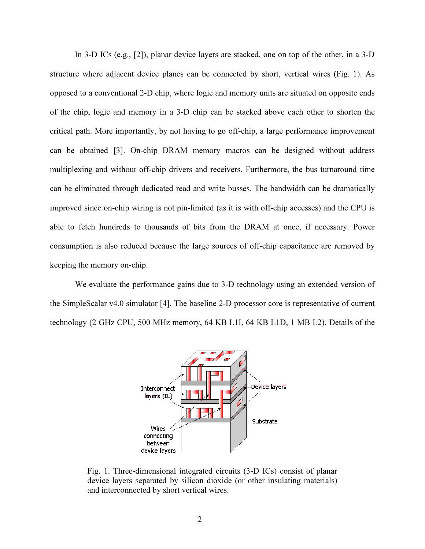In 3-D ICs (e.g., [2]), planar device layers are stacked, one on top of the other, in a 3-D structure where adjacent device planes can be connected by short, vertical wires (Fig. 1). As opposed to a conventional 2-D chip, where logic and memory units are situated on opposite ends of the chip, logic and memory in a 3-D chip can be stacked above each other to shorten the critical path. More importantly, by not having to go off-chip, a large performance improvement can be obtained [3]. On-chip DRAM memory macros can be designed without address multiplexing and without off-chip drivers and receivers. Furthermore, the bus turnaround time can be eliminated through dedicated read and write busses. The bandwidth can be dramatically improved since on-chip wiring is not pin-limited (as it is with off-chip accesses) and the CPU is able to fetch hundreds to thousands of bits from the DRAM at once, if necessary. Power consumption is also reduced because the large sources of off-chip capacitance are removed by keeping the memory on-chip.

We evaluate the performance gains due to 3-D technology using an extended version of the SimpleScalar v4.0 simulator [4]. The baseline 2-D processor core is representative of current technology (2 GHz CPU, 500 MHz memory, 64 KB L1I, 64 KB L1D, 1 MB L2). Details of the



Fig. 1. Three-dimensional integrated circuits (3-D ICs) consist of planar device layers separated by silicon dioxide (or other insulating materials) and interconnected by short vertical wires.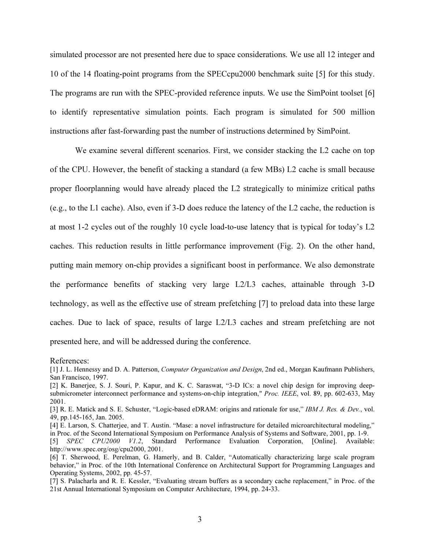simulated processor are not presented here due to space considerations. We use all 12 integer and 10 of the 14 floating-point programs from the SPECcpu2000 benchmark suite [5] for this study. The programs are run with the SPEC-provided reference inputs. We use the SimPoint toolset [6] to identify representative simulation points. Each program is simulated for 500 million instructions after fast-forwarding past the number of instructions determined by SimPoint.

We examine several different scenarios. First, we consider stacking the L2 cache on top of the CPU. However, the benefit of stacking a standard (a few MBs) L2 cache is small because proper floorplanning would have already placed the L2 strategically to minimize critical paths (e.g., to the L1 cache). Also, even if 3-D does reduce the latency of the L2 cache, the reduction is at most 1-2 cycles out of the roughly 10 cycle load-to-use latency that is typical for today's L2 caches. This reduction results in little performance improvement (Fig. 2). On the other hand, putting main memory on-chip provides a significant boost in performance. We also demonstrate the performance benefits of stacking very large L2/L3 caches, attainable through 3-D technology, as well as the effective use of stream prefetching [7] to preload data into these large caches. Due to lack of space, results of large L2/L3 caches and stream prefetching are not presented here, and will be addressed during the conference.

References:

- [4] E. Larson, S. Chatterjee, and T. Austin. "Mase: a novel infrastructure for detailed microarchitectural modeling," in Proc. of the Second International Symposium on Performance Analysis of Systems and Software, 2001, pp. 1-9.
- [5] SPEC CPU2000 V1.2, Standard Performance Evaluation Corporation, [Online]. Available: http://www.spec.org/osg/cpu2000, 2001.
- [6] T. Sherwood, E. Perelman, G. Hamerly, and B. Calder, "Automatically characterizing large scale program behavior," in Proc. of the 10th International Conference on Architectural Support for Programming Languages and Operating Systems, 2002, pp. 45-57.
- [7] S. Palacharla and R. E. Kessler, "Evaluating stream buffers as a secondary cache replacement," in Proc. of the 21st Annual International Symposium on Computer Architecture, 1994, pp. 24-33.

<sup>[1]</sup> J. L. Hennessy and D. A. Patterson, *Computer Organization and Design*, 2nd ed., Morgan Kaufmann Publishers, San Francisco, 1997.

<sup>[2]</sup> K. Banerjee, S. J. Souri, P. Kapur, and K. C. Saraswat, "3-D ICs: a novel chip design for improving deepsubmicrometer interconnect performance and systems-on-chip integration," Proc. IEEE, vol. 89, pp. 602-633, May 2001.

<sup>[3]</sup> R. E. Matick and S. E. Schuster, "Logic-based eDRAM: origins and rationale for use," IBM J. Res. & Dev., vol. 49, pp.145-165, Jan. 2005.